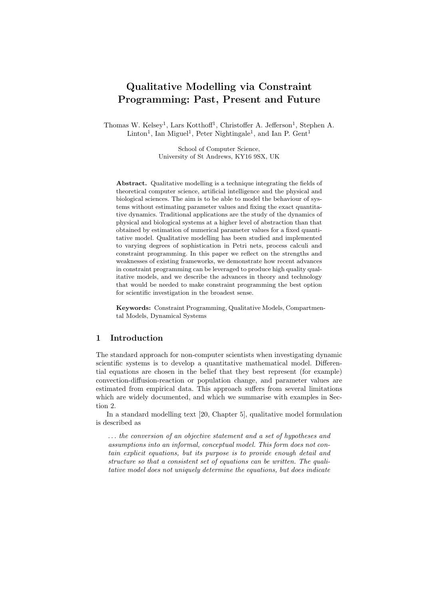# Qualitative Modelling via Constraint Programming: Past, Present and Future

Thomas W. Kelsey<sup>1</sup>, Lars Kotthoff<sup>1</sup>, Christoffer A. Jefferson<sup>1</sup>, Stephen A. Linton<sup>1</sup>, Ian Miguel<sup>1</sup>, Peter Nightingale<sup>1</sup>, and Ian P. Gent<sup>1</sup>

> School of Computer Science, University of St Andrews, KY16 9SX, UK

Abstract. Qualitative modelling is a technique integrating the fields of theoretical computer science, artificial intelligence and the physical and biological sciences. The aim is to be able to model the behaviour of systems without estimating parameter values and fixing the exact quantitative dynamics. Traditional applications are the study of the dynamics of physical and biological systems at a higher level of abstraction than that obtained by estimation of numerical parameter values for a fixed quantitative model. Qualitative modelling has been studied and implemented to varying degrees of sophistication in Petri nets, process calculi and constraint programming. In this paper we reflect on the strengths and weaknesses of existing frameworks, we demonstrate how recent advances in constraint programming can be leveraged to produce high quality qualitative models, and we describe the advances in theory and technology that would be needed to make constraint programming the best option for scientific investigation in the broadest sense.

Keywords: Constraint Programming, Qualitative Models, Compartmental Models, Dynamical Systems

# 1 Introduction

The standard approach for non-computer scientists when investigating dynamic scientific systems is to develop a quantitative mathematical model. Differential equations are chosen in the belief that they best represent (for example) convection-diffusion-reaction or population change, and parameter values are estimated from empirical data. This approach suffers from several limitations which are widely documented, and which we summarise with examples in Section 2.

In a standard modelling text [20, Chapter 5], qualitative model formulation is described as

... the conversion of an objective statement and a set of hypotheses and assumptions into an informal, conceptual model. This form does not contain explicit equations, but its purpose is to provide enough detail and structure so that a consistent set of equations can be written. The qualitative model does not uniquely determine the equations, but does indicate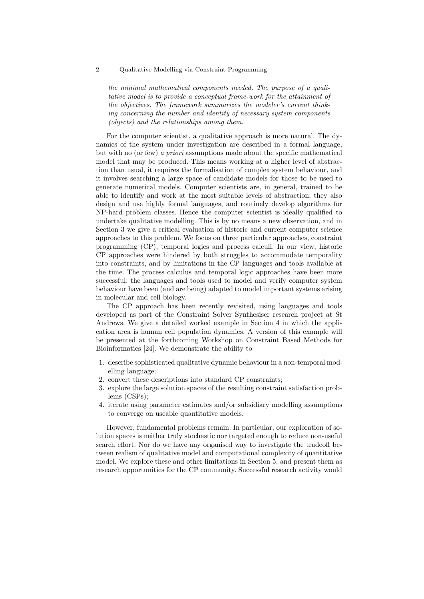the minimal mathematical components needed. The purpose of a qualitative model is to provide a conceptual frame-work for the attainment of the objectives. The framework summarizes the modeler's current thinking concerning the number and identity of necessary system components (objects) and the relationships among them.

For the computer scientist, a qualitative approach is more natural. The dynamics of the system under investigation are described in a formal language, but with no (or few) a priori assumptions made about the specific mathematical model that may be produced. This means working at a higher level of abstraction than usual, it requires the formalisation of complex system behaviour, and it involves searching a large space of candidate models for those to be used to generate numerical models. Computer scientists are, in general, trained to be able to identify and work at the most suitable levels of abstraction; they also design and use highly formal languages, and routinely develop algorithms for NP-hard problem classes. Hence the computer scientist is ideally qualified to undertake qualitative modelling. This is by no means a new observation, and in Section 3 we give a critical evaluation of historic and current computer science approaches to this problem. We focus on three particular approaches, constraint programming (CP), temporal logics and process calculi. In our view, historic CP approaches were hindered by both struggles to accommodate temporality into constraints, and by limitations in the CP languages and tools available at the time. The process calculus and temporal logic approaches have been more successful: the languages and tools used to model and verify computer system behaviour have been (and are being) adapted to model important systems arising in molecular and cell biology.

The CP approach has been recently revisited, using languages and tools developed as part of the Constraint Solver Synthesiser research project at St Andrews. We give a detailed worked example in Section 4 in which the application area is human cell population dynamics. A version of this example will be presented at the forthcoming Workshop on Constraint Based Methods for Bioinformatics [24]. We demonstrate the ability to

- 1. describe sophisticated qualitative dynamic behaviour in a non-temporal modelling language;
- 2. convert these descriptions into standard CP constraints;
- 3. explore the large solution spaces of the resulting constraint satisfaction problems (CSPs);
- 4. iterate using parameter estimates and/or subsidiary modelling assumptions to converge on useable quantitative models.

However, fundamental problems remain. In particular, our exploration of solution spaces is neither truly stochastic nor targeted enough to reduce non-useful search effort. Nor do we have any organised way to investigate the tradeoff between realism of qualitative model and computational complexity of quantitative model. We explore these and other limitations in Section 5, and present them as research opportunities for the CP community. Successful research activity would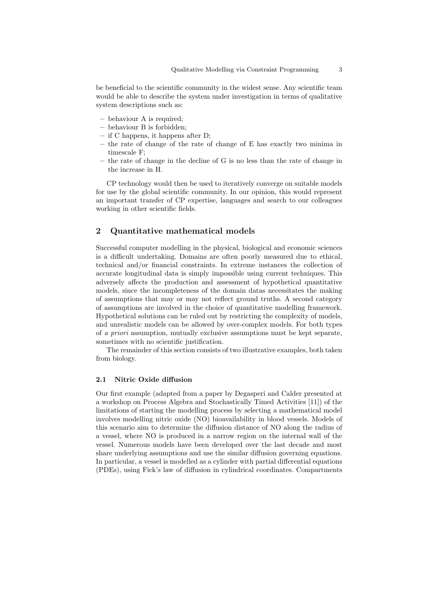be beneficial to the scientific community in the widest sense. Any scientific team would be able to describe the system under investigation in terms of qualitative system descriptions such as:

- behaviour A is required;
- behaviour B is forbidden;
- if C happens, it happens after D;
- the rate of change of the rate of change of E has exactly two minima in timescale F;
- the rate of change in the decline of G is no less than the rate of change in the increase in H.

CP technology would then be used to iteratively converge on suitable models for use by the global scientific community. In our opinion, this would represent an important transfer of CP expertise, languages and search to our colleagues working in other scientific fields.

# 2 Quantitative mathematical models

Successful computer modelling in the physical, biological and economic sciences is a difficult undertaking. Domains are often poorly measured due to ethical, technical and/or financial constraints. In extreme instances the collection of accurate longitudinal data is simply impossible using current techniques. This adversely affects the production and assessment of hypothetical quantitative models, since the incompleteness of the domain datas necessitates the making of assumptions that may or may not reflect ground truths. A second category of assumptions are involved in the choice of quantitative modelling framework. Hypothetical solutions can be ruled out by restricting the complexity of models, and unrealistic models can be allowed by over-complex models. For both types of a priori assumption, mutually exclusive assumptions must be kept separate, sometimes with no scientific justification.

The remainder of this section consists of two illustrative examples, both taken from biology.

#### 2.1 Nitric Oxide diffusion

Our first example (adapted from a paper by Degasperi and Calder presented at a workshop on Process Algebra and Stochastically Timed Activities [11]) of the limitations of starting the modelling process by selecting a mathematical model involves modelling nitric oxide (NO) bioavailability in blood vessels. Models of this scenario aim to determine the diffusion distance of NO along the radius of a vessel, where NO is produced in a narrow region on the internal wall of the vessel. Numerous models have been developed over the last decade and most share underlying assumptions and use the similar diffusion governing equations. In particular, a vessel is modelled as a cylinder with partial differential equations (PDEs), using Fick's law of diffusion in cylindrical coordinates. Compartments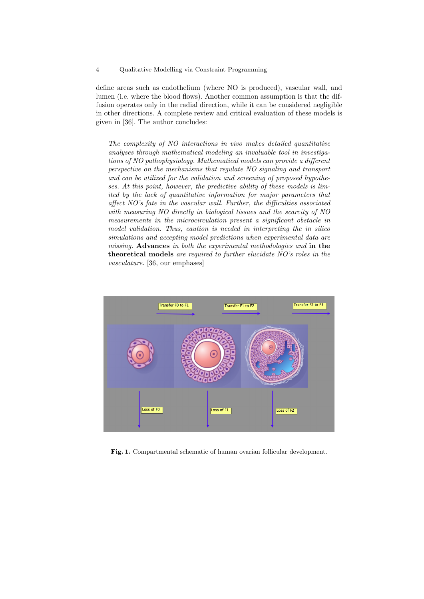define areas such as endothelium (where NO is produced), vascular wall, and lumen (i.e. where the blood flows). Another common assumption is that the diffusion operates only in the radial direction, while it can be considered negligible in other directions. A complete review and critical evaluation of these models is given in [36]. The author concludes:

The complexity of NO interactions in vivo makes detailed quantitative analyses through mathematical modeling an invaluable tool in investigations of NO pathophysiology. Mathematical models can provide a different perspective on the mechanisms that regulate NO signaling and transport and can be utilized for the validation and screening of proposed hypotheses. At this point, however, the predictive ability of these models is limited by the lack of quantitative information for major parameters that affect NO's fate in the vascular wall. Further, the difficulties associated with measuring NO directly in biological tissues and the scarcity of NO measurements in the microcirculation present a significant obstacle in model validation. Thus, caution is needed in interpreting the in silico simulations and accepting model predictions when experimental data are missing. Advances in both the experimental methodologies and in the theoretical models are required to further elucidate NO's roles in the vasculature. [36, our emphases]



Fig. 1. Compartmental schematic of human ovarian follicular development.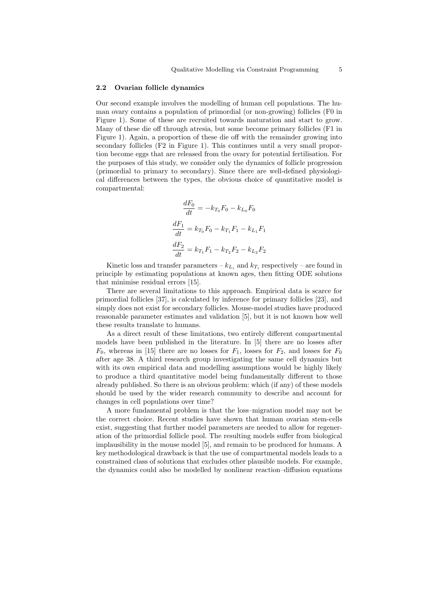#### 2.2 Ovarian follicle dynamics

Our second example involves the modelling of human cell populations. The human ovary contains a population of primordial (or non-growing) follicles (F0 in Figure 1). Some of these are recruited towards maturation and start to grow. Many of these die off through atresia, but some become primary follicles (F1 in Figure 1). Again, a proportion of these die off with the remainder growing into secondary follicles (F2 in Figure 1). This continues until a very small proportion become eggs that are released from the ovary for potential fertilisation. For the purposes of this study, we consider only the dynamics of follicle progression (primordial to primary to secondary). Since there are well-defined physiological differences between the types, the obvious choice of quantitative model is compartmental:

$$
\frac{dF_0}{dt} = -k_{T_0}F_0 - k_{L_0}F_0
$$

$$
\frac{dF_1}{dt} = k_{T_0}F_0 - k_{T_1}F_1 - k_{L_1}F_1
$$

$$
\frac{dF_2}{dt} = k_{T_1}F_1 - k_{T_2}F_2 - k_{L_2}F_2
$$

Kinetic loss and transfer parameters  $-k_{L_i}$  and  $k_{T_i}$  respectively  $-$  are found in principle by estimating populations at known ages, then fitting ODE solutions that minimise residual errors [15].

There are several limitations to this approach. Empirical data is scarce for primordial follicles [37], is calculated by inference for primary follicles [23], and simply does not exist for secondary follicles. Mouse-model studies have produced reasonable parameter estimates and validation [5], but it is not known how well these results translate to humans.

As a direct result of these limitations, two entirely different compartmental models have been published in the literature. In [5] there are no losses after  $F_0$ , whereas in [15] there are no losses for  $F_1$ , losses for  $F_2$ , and losses for  $F_0$ after age 38. A third research group investigating the same cell dynamics but with its own empirical data and modelling assumptions would be highly likely to produce a third quantitative model being fundamentally different to those already published. So there is an obvious problem: which (if any) of these models should be used by the wider research community to describe and account for changes in cell populations over time?

A more fundamental problem is that the loss–migration model may not be the correct choice. Recent studies have shown that human ovarian stem-cells exist, suggesting that further model parameters are needed to allow for regeneration of the primordial follicle pool. The resulting models suffer from biological implausibility in the mouse model [5], and remain to be produced for humans. A key methodological drawback is that the use of compartmental models leads to a constrained class of solutions that excludes other plausible models. For example, the dynamics could also be modelled by nonlinear reaction–diffusion equations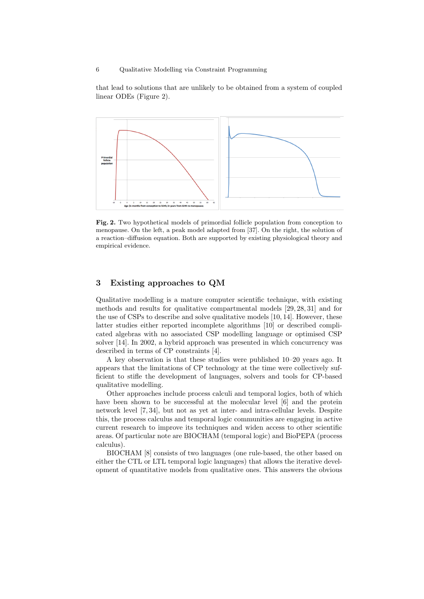that lead to solutions that are unlikely to be obtained from a system of coupled linear ODEs (Figure 2).



Fig. 2. Two hypothetical models of primordial follicle population from conception to menopause. On the left, a peak model adapted from [37]. On the right, the solution of a reaction–diffusion equation. Both are supported by existing physiological theory and empirical evidence.

## 3 Existing approaches to QM

Qualitative modelling is a mature computer scientific technique, with existing methods and results for qualitative compartmental models [29, 28, 31] and for the use of CSPs to describe and solve qualitative models [10, 14]. However, these latter studies either reported incomplete algorithms [10] or described complicated algebras with no associated CSP modelling language or optimised CSP solver [14]. In 2002, a hybrid approach was presented in which concurrency was described in terms of CP constraints [4].

A key observation is that these studies were published 10–20 years ago. It appears that the limitations of CP technology at the time were collectively sufficient to stifle the development of languages, solvers and tools for CP-based qualitative modelling.

Other approaches include process calculi and temporal logics, both of which have been shown to be successful at the molecular level [6] and the protein network level [7, 34], but not as yet at inter- and intra-cellular levels. Despite this, the process calculus and temporal logic communities are engaging in active current research to improve its techniques and widen access to other scientific areas. Of particular note are BIOCHAM (temporal logic) and BioPEPA (process calculus).

BIOCHAM [8] consists of two languages (one rule-based, the other based on either the CTL or LTL temporal logic languages) that allows the iterative development of quantitative models from qualitative ones. This answers the obvious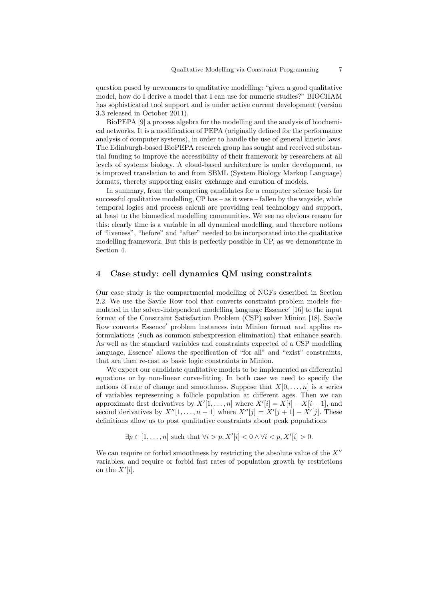question posed by newcomers to qualitative modelling: "given a good qualitative model, how do I derive a model that I can use for numeric studies?" BIOCHAM has sophisticated tool support and is under active current development (version 3.3 released in October 2011).

BioPEPA [9] a process algebra for the modelling and the analysis of biochemical networks. It is a modification of PEPA (originally defined for the performance analysis of computer systems), in order to handle the use of general kinetic laws. The Edinburgh-based BioPEPA research group has sought and received substantial funding to improve the accessibility of their framework by researchers at all levels of systems biology. A cloud-based architecture is under development, as is improved translation to and from SBML (System Biology Markup Language) formats, thereby supporting easier exchange and curation of models.

In summary, from the competing candidates for a computer science basis for successful qualitative modelling,  $\overline{CP}$  has  $-$  as it were  $-$  fallen by the wayside, while temporal logics and process calculi are providing real technology and support, at least to the biomedical modelling communities. We see no obvious reason for this: clearly time is a variable in all dynamical modelling, and therefore notions of "liveness", "before" and "after" needed to be incorporated into the qualitative modelling framework. But this is perfectly possible in CP, as we demonstrate in Section 4.

## 4 Case study: cell dynamics QM using constraints

Our case study is the compartmental modelling of NGFs described in Section 2.2. We use the Savile Row tool that converts constraint problem models formulated in the solver-independent modelling language Essence' [16] to the input format of the Constraint Satisfaction Problem (CSP) solver Minion [18]. Savile Row converts Essence' problem instances into Minion format and applies reformulations (such as common subexpression elimination) that enhance search. As well as the standard variables and constraints expected of a CSP modelling language, Essence' allows the specification of "for all" and "exist" constraints, that are then re-cast as basic logic constraints in Minion.

We expect our candidate qualitative models to be implemented as differential equations or by non-linear curve-fitting. In both case we need to specify the notions of rate of change and smoothness. Suppose that  $X[0, \ldots, n]$  is a series of variables representing a follicle population at different ages. Then we can approximate first derivatives by  $X'[1, \ldots, n]$  where  $X'[i] = X[i] - X[i-1]$ , and second derivatives by  $X''[1, \ldots, n-1]$  where  $X''[j] = X'[j+1] - X'[j]$ . These definitions allow us to post qualitative constraints about peak populations

$$
\exists p \in [1, \dots, n] \text{ such that } \forall i > p, X'[i] < 0 \land \forall i < p, X'[i] > 0.
$$

We can require or forbid smoothness by restricting the absolute value of the  $X''$ variables, and require or forbid fast rates of population growth by restrictions on the  $X'[i]$ .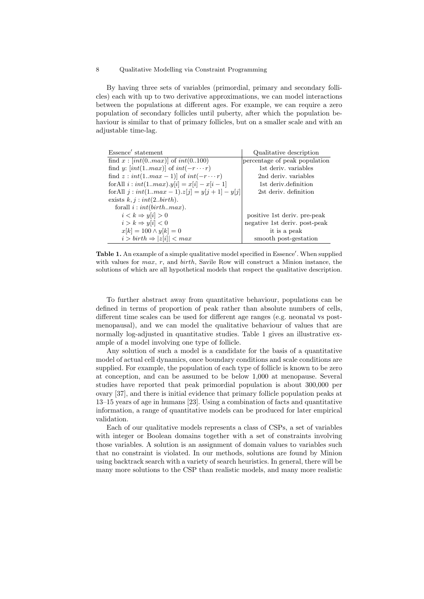By having three sets of variables (primordial, primary and secondary follicles) each with up to two derivative approximations, we can model interactions between the populations at different ages. For example, we can require a zero population of secondary follicles until puberty, after which the population behaviour is similar to that of primary follicles, but on a smaller scale and with an adjustable time-lag.

| Essence' statement                                       | Qualitative description       |
|----------------------------------------------------------|-------------------------------|
| find $x : [int(0max)]$ of $int(0100)$                    | percentage of peak population |
| find y: [int(1max)] of $int(-r \cdots r)$                | 1st deriv. variables          |
| find $z: int(1.max - 1)]$ of $int(-r \cdots r)$          | 2nd deriv. variables          |
| for All $i: int(1 \dots max).$ $y[i] = x[i] - x[i-1]$    | 1st deriv.definition          |
| for All $j: int(1 \dots max - 1).z[j] = y[j + 1] - y[j]$ | 2st deriv. definition         |
| exists $k, j: int(2. . birth).$                          |                               |
| forall $i : int(birthmax)$ .                             |                               |
| $i < k \Rightarrow y[i] > 0$                             | positive 1st deriv. pre-peak  |
| $i > k \Rightarrow y[i] < 0$                             | negative 1st deriv. post-peak |
| $x[k] = 100 \wedge y[k] = 0$                             | it is a peak                  |
| $i > birth \Rightarrow  z[i]  < max$                     | smooth post-gestation         |

Table 1. An example of a simple qualitative model specified in Essence'. When supplied with values for  $max$ , r, and *birth*. Savile Row will construct a Minion instance, the solutions of which are all hypothetical models that respect the qualitative description.

To further abstract away from quantitative behaviour, populations can be defined in terms of proportion of peak rather than absolute numbers of cells, different time scales can be used for different age ranges (e.g. neonatal vs postmenopausal), and we can model the qualitative behaviour of values that are normally log-adjusted in quantitative studies. Table 1 gives an illustrative example of a model involving one type of follicle.

Any solution of such a model is a candidate for the basis of a quantitative model of actual cell dynamics, once boundary conditions and scale conditions are supplied. For example, the population of each type of follicle is known to be zero at conception, and can be assumed to be below 1,000 at menopause. Several studies have reported that peak primordial population is about 300,000 per ovary [37], and there is initial evidence that primary follicle population peaks at 13–15 years of age in humans [23]. Using a combination of facts and quantitative information, a range of quantitative models can be produced for later empirical validation.

Each of our qualitative models represents a class of CSPs, a set of variables with integer or Boolean domains together with a set of constraints involving those variables. A solution is an assignment of domain values to variables such that no constraint is violated. In our methods, solutions are found by Minion using backtrack search with a variety of search heuristics. In general, there will be many more solutions to the CSP than realistic models, and many more realistic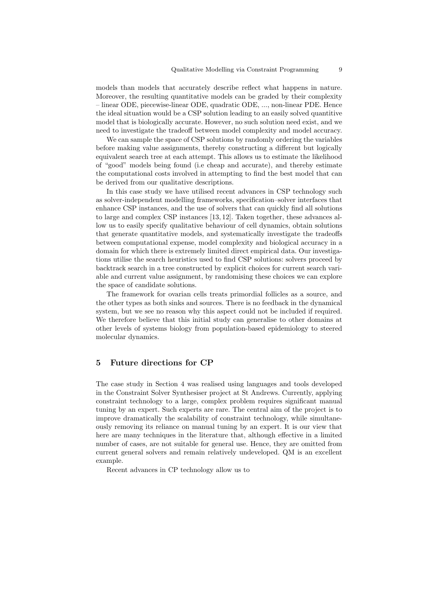models than models that accurately describe reflect what happens in nature. Moreover, the resulting quantitative models can be graded by their complexity – linear ODE, piecewise-linear ODE, quadratic ODE, ..., non-linear PDE. Hence the ideal situation would be a CSP solution leading to an easily solved quantitive model that is biologically accurate. However, no such solution need exist, and we need to investigate the tradeoff between model complexity and model accuracy.

We can sample the space of CSP solutions by randomly ordering the variables before making value assignments, thereby constructing a different but logically equivalent search tree at each attempt. This allows us to estimate the likelihood of "good" models being found (i.e cheap and accurate), and thereby estimate the computational costs involved in attempting to find the best model that can be derived from our qualitative descriptions.

In this case study we have utilised recent advances in CSP technology such as solver-independent modelling frameworks, specification–solver interfaces that enhance CSP instances, and the use of solvers that can quickly find all solutions to large and complex CSP instances [13, 12]. Taken together, these advances allow us to easily specify qualitative behaviour of cell dynamics, obtain solutions that generate quantitative models, and systematically investigate the tradeoffs between computational expense, model complexity and biological accuracy in a domain for which there is extremely limited direct empirical data. Our investigations utilise the search heuristics used to find CSP solutions: solvers proceed by backtrack search in a tree constructed by explicit choices for current search variable and current value assignment, by randomising these choices we can explore the space of candidate solutions.

The framework for ovarian cells treats primordial follicles as a source, and the other types as both sinks and sources. There is no feedback in the dynamical system, but we see no reason why this aspect could not be included if required. We therefore believe that this initial study can generalise to other domains at other levels of systems biology from population-based epidemiology to steered molecular dynamics.

## 5 Future directions for CP

The case study in Section 4 was realised using languages and tools developed in the Constraint Solver Synthesiser project at St Andrews. Currently, applying constraint technology to a large, complex problem requires significant manual tuning by an expert. Such experts are rare. The central aim of the project is to improve dramatically the scalability of constraint technology, while simultaneously removing its reliance on manual tuning by an expert. It is our view that here are many techniques in the literature that, although effective in a limited number of cases, are not suitable for general use. Hence, they are omitted from current general solvers and remain relatively undeveloped. QM is an excellent example.

Recent advances in CP technology allow us to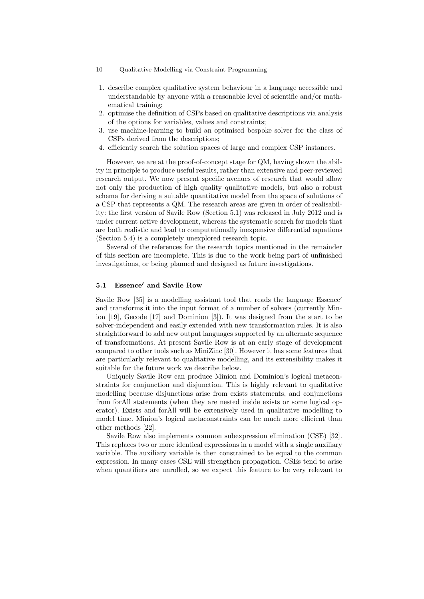- 1. describe complex qualitative system behaviour in a language accessible and understandable by anyone with a reasonable level of scientific and/or mathematical training;
- 2. optimise the definition of CSPs based on qualitative descriptions via analysis of the options for variables, values and constraints;
- 3. use machine-learning to build an optimised bespoke solver for the class of CSPs derived from the descriptions;
- 4. efficiently search the solution spaces of large and complex CSP instances.

However, we are at the proof-of-concept stage for QM, having shown the ability in principle to produce useful results, rather than extensive and peer-reviewed research output. We now present specific avenues of research that would allow not only the production of high quality qualitative models, but also a robust schema for deriving a suitable quantitative model from the space of solutions of a CSP that represents a QM. The research areas are given in order of realisability: the first version of Savile Row (Section 5.1) was released in July 2012 and is under current active development, whereas the systematic search for models that are both realistic and lead to computationally inexpensive differential equations (Section 5.4) is a completely unexplored research topic.

Several of the references for the research topics mentioned in the remainder of this section are incomplete. This is due to the work being part of unfinished investigations, or being planned and designed as future investigations.

### 5.1 Essence' and Savile Row

Savile Row  $[35]$  is a modelling assistant tool that reads the language Essence' and transforms it into the input format of a number of solvers (currently Minion [19], Gecode [17] and Dominion [3]). It was designed from the start to be solver-independent and easily extended with new transformation rules. It is also straightforward to add new output languages supported by an alternate sequence of transformations. At present Savile Row is at an early stage of development compared to other tools such as MiniZinc [30]. However it has some features that are particularly relevant to qualitative modelling, and its extensibility makes it suitable for the future work we describe below.

Uniquely Savile Row can produce Minion and Dominion's logical metaconstraints for conjunction and disjunction. This is highly relevant to qualitative modelling because disjunctions arise from exists statements, and conjunctions from forAll statements (when they are nested inside exists or some logical operator). Exists and forAll will be extensively used in qualitative modelling to model time. Minion's logical metaconstraints can be much more efficient than other methods [22].

Savile Row also implements common subexpression elimination (CSE) [32]. This replaces two or more identical expressions in a model with a single auxiliary variable. The auxiliary variable is then constrained to be equal to the common expression. In many cases CSE will strengthen propagation. CSEs tend to arise when quantifiers are unrolled, so we expect this feature to be very relevant to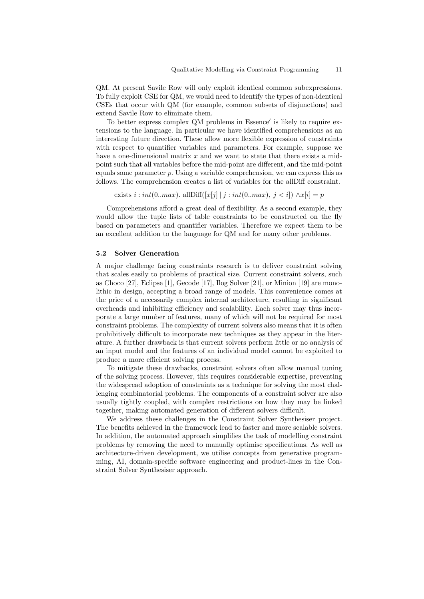QM. At present Savile Row will only exploit identical common subexpressions. To fully exploit CSE for QM, we would need to identify the types of non-identical CSEs that occur with QM (for example, common subsets of disjunctions) and extend Savile Row to eliminate them.

To better express complex QM problems in Essence' is likely to require extensions to the language. In particular we have identified comprehensions as an interesting future direction. These allow more flexible expression of constraints with respect to quantifier variables and parameters. For example, suppose we have a one-dimensional matrix x and we want to state that there exists a midpoint such that all variables before the mid-point are different, and the mid-point equals some parameter  $p$ . Using a variable comprehension, we can express this as follows. The comprehension creates a list of variables for the allDiff constraint.

exists  $i : int(0.max)$ . allDiff $([x[j] \mid j : int(0.max), j < i]) \wedge x[i] = p$ 

Comprehensions afford a great deal of flexibility. As a second example, they would allow the tuple lists of table constraints to be constructed on the fly based on parameters and quantifier variables. Therefore we expect them to be an excellent addition to the language for QM and for many other problems.

#### 5.2 Solver Generation

A major challenge facing constraints research is to deliver constraint solving that scales easily to problems of practical size. Current constraint solvers, such as Choco [27], Eclipse [1], Gecode [17], Ilog Solver [21], or Minion [19] are monolithic in design, accepting a broad range of models. This convenience comes at the price of a necessarily complex internal architecture, resulting in significant overheads and inhibiting efficiency and scalability. Each solver may thus incorporate a large number of features, many of which will not be required for most constraint problems. The complexity of current solvers also means that it is often prohibitively difficult to incorporate new techniques as they appear in the literature. A further drawback is that current solvers perform little or no analysis of an input model and the features of an individual model cannot be exploited to produce a more efficient solving process.

To mitigate these drawbacks, constraint solvers often allow manual tuning of the solving process. However, this requires considerable expertise, preventing the widespread adoption of constraints as a technique for solving the most challenging combinatorial problems. The components of a constraint solver are also usually tightly coupled, with complex restrictions on how they may be linked together, making automated generation of different solvers difficult.

We address these challenges in the Constraint Solver Synthesiser project. The benefits achieved in the framework lead to faster and more scalable solvers. In addition, the automated approach simplifies the task of modelling constraint problems by removing the need to manually optimise specifications. As well as architecture-driven development, we utilise concepts from generative programming, AI, domain-specific software engineering and product-lines in the Constraint Solver Synthesiser approach.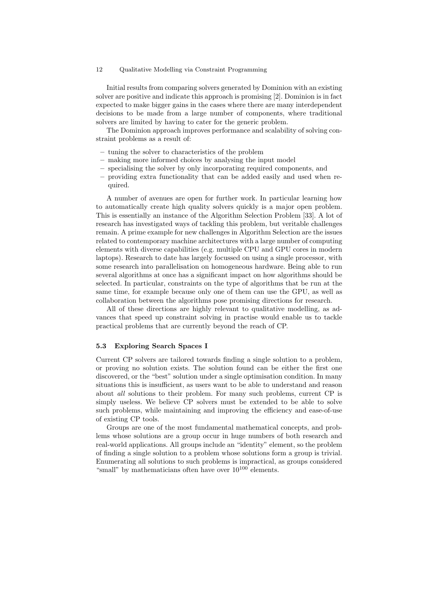Initial results from comparing solvers generated by Dominion with an existing solver are positive and indicate this approach is promising [2]. Dominion is in fact expected to make bigger gains in the cases where there are many interdependent decisions to be made from a large number of components, where traditional solvers are limited by having to cater for the generic problem.

The Dominion approach improves performance and scalability of solving constraint problems as a result of:

- tuning the solver to characteristics of the problem
- making more informed choices by analysing the input model
- specialising the solver by only incorporating required components, and
- providing extra functionality that can be added easily and used when required.

A number of avenues are open for further work. In particular learning how to automatically create high quality solvers quickly is a major open problem. This is essentially an instance of the Algorithm Selection Problem [33]. A lot of research has investigated ways of tackling this problem, but veritable challenges remain. A prime example for new challenges in Algorithm Selection are the issues related to contemporary machine architectures with a large number of computing elements with diverse capabilities (e.g. multiple CPU and GPU cores in modern laptops). Research to date has largely focussed on using a single processor, with some research into parallelisation on homogeneous hardware. Being able to run several algorithms at once has a significant impact on how algorithms should be selected. In particular, constraints on the type of algorithms that be run at the same time, for example because only one of them can use the GPU, as well as collaboration between the algorithms pose promising directions for research.

All of these directions are highly relevant to qualitative modelling, as advances that speed up constraint solving in practise would enable us to tackle practical problems that are currently beyond the reach of CP.

#### 5.3 Exploring Search Spaces I

Current CP solvers are tailored towards finding a single solution to a problem, or proving no solution exists. The solution found can be either the first one discovered, or the "best" solution under a single optimisation condition. In many situations this is insufficient, as users want to be able to understand and reason about all solutions to their problem. For many such problems, current CP is simply useless. We believe CP solvers must be extended to be able to solve such problems, while maintaining and improving the efficiency and ease-of-use of existing CP tools.

Groups are one of the most fundamental mathematical concepts, and problems whose solutions are a group occur in huge numbers of both research and real-world applications. All groups include an "identity" element, so the problem of finding a single solution to a problem whose solutions form a group is trivial. Enumerating all solutions to such problems is impractical, as groups considered "small" by mathematicians often have over  $10^{100}$  elements.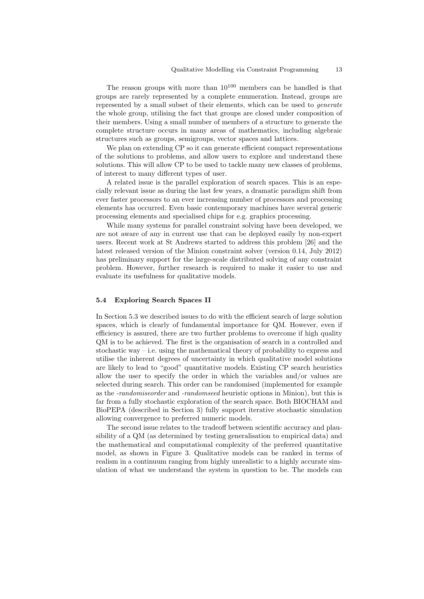The reason groups with more than  $10^{100}$  members can be handled is that groups are rarely represented by a complete enumeration. Instead, groups are represented by a small subset of their elements, which can be used to generate the whole group, utilising the fact that groups are closed under composition of their members. Using a small number of members of a structure to generate the complete structure occurs in many areas of mathematics, including algebraic structures such as groups, semigroups, vector spaces and lattices.

We plan on extending CP so it can generate efficient compact representations of the solutions to problems, and allow users to explore and understand these solutions. This will allow CP to be used to tackle many new classes of problems, of interest to many different types of user.

A related issue is the parallel exploration of search spaces. This is an especially relevant issue as during the last few years, a dramatic paradigm shift from ever faster processors to an ever increasing number of processors and processing elements has occurred. Even basic contemporary machines have several generic processing elements and specialised chips for e.g. graphics processing.

While many systems for parallel constraint solving have been developed, we are not aware of any in current use that can be deployed easily by non-expert users. Recent work at St Andrews started to address this problem [26] and the latest released version of the Minion constraint solver (version 0.14, July 2012) has preliminary support for the large-scale distributed solving of any constraint problem. However, further research is required to make it easier to use and evaluate its usefulness for qualitative models.

### 5.4 Exploring Search Spaces II

In Section 5.3 we described issues to do with the efficient search of large solution spaces, which is clearly of fundamental importance for QM. However, even if efficiency is assured, there are two further problems to overcome if high quality QM is to be achieved. The first is the organisation of search in a controlled and stochastic way – i.e. using the mathematical theory of probability to express and utilise the inherent degrees of uncertainty in which qualitative model solutions are likely to lead to "good" quantitative models. Existing CP search heuristics allow the user to specify the order in which the variables and/or values are selected during search. This order can be randomised (implemented for example as the -randomiseorder and -randomseed heuristic options in Minion), but this is far from a fully stochastic exploration of the search space. Both BIOCHAM and BioPEPA (described in Section 3) fully support iterative stochastic simulation allowing convergence to preferred numeric models.

The second issue relates to the tradeoff between scientific accuracy and plausibility of a QM (as determined by testing generalisation to empirical data) and the mathematical and computational complexity of the preferred quantitative model, as shown in Figure 3. Qualitative models can be ranked in terms of realism in a continuum ranging from highly unrealistic to a highly accurate simulation of what we understand the system in question to be. The models can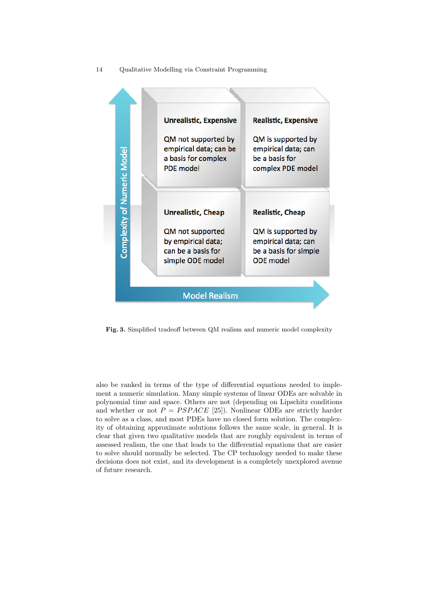14 Qualitative Modelling via Constraint Programming



Fig. 3. Simplified tradeoff between QM realism and numeric model complexity

also be ranked in terms of the type of differential equations needed to implement a numeric simulation. Many simple systems of linear ODEs are solvable in polynomial time and space. Others are not (depending on Lipschitz conditions and whether or not  $P = PSPACE$  [25]). Nonlinear ODEs are strictly harder to solve as a class, and most PDEs have no closed form solution. The complexity of obtaining approximate solutions follows the same scale, in general. It is clear that given two qualitative models that are roughly equivalent in terms of assessed realism, the one that leads to the differential equations that are easier to solve should normally be selected. The CP technology needed to make these decisions does not exist, and its development is a completely unexplored avenue of future research.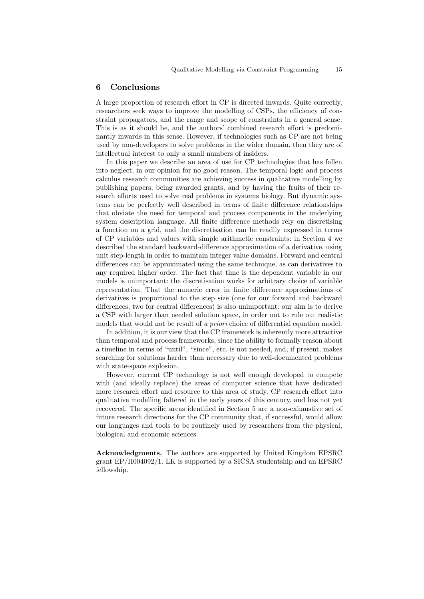#### 6 Conclusions

A large proportion of research effort in CP is directed inwards. Quite correctly, researchers seek ways to improve the modelling of CSPs, the efficiency of constraint propagators, and the range and scope of constraints in a general sense. This is as it should be, and the authors' combined research effort is predominantly inwards in this sense. However, if technologies such as CP are not being used by non-developers to solve problems in the wider domain, then they are of intellectual interest to only a small numbers of insiders.

In this paper we describe an area of use for CP technologies that has fallen into neglect, in our opinion for no good reason. The temporal logic and process calculus research communities are achieving success in qualitative modelling by publishing papers, being awarded grants, and by having the fruits of their research efforts used to solve real problems in systems biology. But dynamic systems can be perfectly well described in terms of finite difference relationships that obviate the need for temporal and process components in the underlying system description language. All finite difference methods rely on discretising a function on a grid, and the discretisation can be readily expressed in terms of CP variables and values with simple arithmetic constraints: in Section 4 we described the standard backward-difference approximation of a derivative, using unit step-length in order to maintain integer value domains. Forward and central differences can be approximated using the same technique, as can derivatives to any required higher order. The fact that time is the dependent variable in our models is unimportant: the discretisation works for arbitrary choice of variable representation. That the numeric error in finite difference approximations of derivatives is proportional to the step size (one for our forward and backward differences; two for central differences) is also unimportant: our aim is to derive a CSP with larger than needed solution space, in order not to rule out realistic models that would not be result of a *priori* choice of differential equation model.

In addition, it is our view that the CP framework is inherently more attractive than temporal and process frameworks, since the ability to formally reason about a timeline in terms of "until", "since", etc. is not needed, and, if present, makes searching for solutions harder than necessary due to well-documented problems with state-space explosion.

However, current CP technology is not well enough developed to compete with (and ideally replace) the areas of computer science that have dedicated more research effort and resource to this area of study. CP research effort into qualitative modelling faltered in the early years of this century, and has not yet recovered. The specific areas identified in Section 5 are a non-exhaustive set of future research directions for the CP community that, if successful, would allow our languages and tools to be routinely used by researchers from the physical, biological and economic sciences.

Acknowledgments. The authors are supported by United Kingdom EPSRC grant EP/H004092/1. LK is supported by a SICSA studentship and an EPSRC fellowship.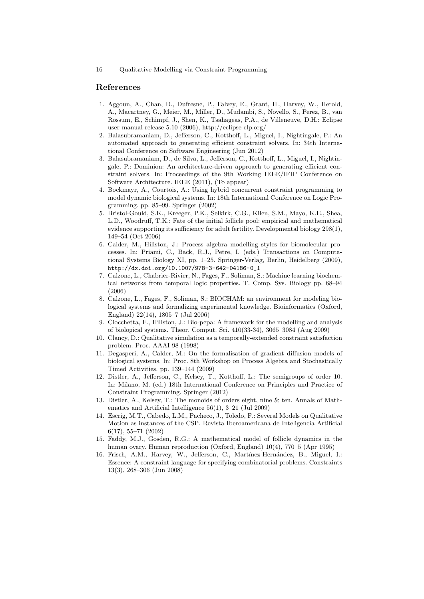#### References

- 1. Aggoun, A., Chan, D., Dufresne, P., Falvey, E., Grant, H., Harvey, W., Herold, A., Macartney, G., Meier, M., Miller, D., Mudambi, S., Novello, S., Perez, B., van Rossum, E., Schimpf, J., Shen, K., Tsahageas, P.A., de Villeneuve, D.H.: Eclipse user manual release 5.10 (2006), http://eclipse-clp.org/
- 2. Balasubramaniam, D., Jefferson, C., Kotthoff, L., Miguel, I., Nightingale, P.: An automated approach to generating efficient constraint solvers. In: 34th International Conference on Software Engineering (Jun 2012)
- 3. Balasubramaniam, D., de Silva, L., Jefferson, C., Kotthoff, L., Miguel, I., Nightingale, P.: Dominion: An architecture-driven approach to generating efficient constraint solvers. In: Proceedings of the 9th Working IEEE/IFIP Conference on Software Architecture. IEEE (2011), (To appear)
- 4. Bockmayr, A., Courtois, A.: Using hybrid concurrent constraint programming to model dynamic biological systems. In: 18th International Conference on Logic Programming. pp. 85–99. Springer (2002)
- 5. Bristol-Gould, S.K., Kreeger, P.K., Selkirk, C.G., Kilen, S.M., Mayo, K.E., Shea, L.D., Woodruff, T.K.: Fate of the initial follicle pool: empirical and mathematical evidence supporting its sufficiency for adult fertility. Developmental biology 298(1), 149–54 (Oct 2006)
- 6. Calder, M., Hillston, J.: Process algebra modelling styles for biomolecular processes. In: Priami, C., Back, R.J., Petre, I. (eds.) Transactions on Computational Systems Biology XI, pp. 1–25. Springer-Verlag, Berlin, Heidelberg (2009), http://dx.doi.org/10.1007/978-3-642-04186-0\_1
- 7. Calzone, L., Chabrier-Rivier, N., Fages, F., Soliman, S.: Machine learning biochemical networks from temporal logic properties. T. Comp. Sys. Biology pp. 68–94 (2006)
- 8. Calzone, L., Fages, F., Soliman, S.: BIOCHAM: an environment for modeling biological systems and formalizing experimental knowledge. Bioinformatics (Oxford, England) 22(14), 1805–7 (Jul 2006)
- 9. Ciocchetta, F., Hillston, J.: Bio-pepa: A framework for the modelling and analysis of biological systems. Theor. Comput. Sci. 410(33-34), 3065–3084 (Aug 2009)
- 10. Clancy, D.: Qualitative simulation as a temporally-extended constraint satisfaction problem. Proc. AAAI 98 (1998)
- 11. Degasperi, A., Calder, M.: On the formalisation of gradient diffusion models of biological systems. In: Proc. 8th Workshop on Process Algebra and Stochastically Timed Activities. pp. 139–144 (2009)
- 12. Distler, A., Jefferson, C., Kelsey, T., Kotthoff, L.: The semigroups of order 10. In: Milano, M. (ed.) 18th International Conference on Principles and Practice of Constraint Programming. Springer (2012)
- 13. Distler, A., Kelsey, T.: The monoids of orders eight, nine & ten. Annals of Mathematics and Artificial Intelligence 56(1), 3–21 (Jul 2009)
- 14. Escrig, M.T., Cabedo, L.M., Pacheco, J., Toledo, F.: Several Models on Qualitative Motion as instances of the CSP. Revista Iberoamericana de Inteligencia Artificial 6(17), 55–71 (2002)
- 15. Faddy, M.J., Gosden, R.G.: A mathematical model of follicle dynamics in the human ovary. Human reproduction (Oxford, England) 10(4), 770–5 (Apr 1995)
- 16. Frisch, A.M., Harvey, W., Jefferson, C., Martínez-Hernández, B., Miguel, I.: Essence: A constraint language for specifying combinatorial problems. Constraints 13(3), 268–306 (Jun 2008)